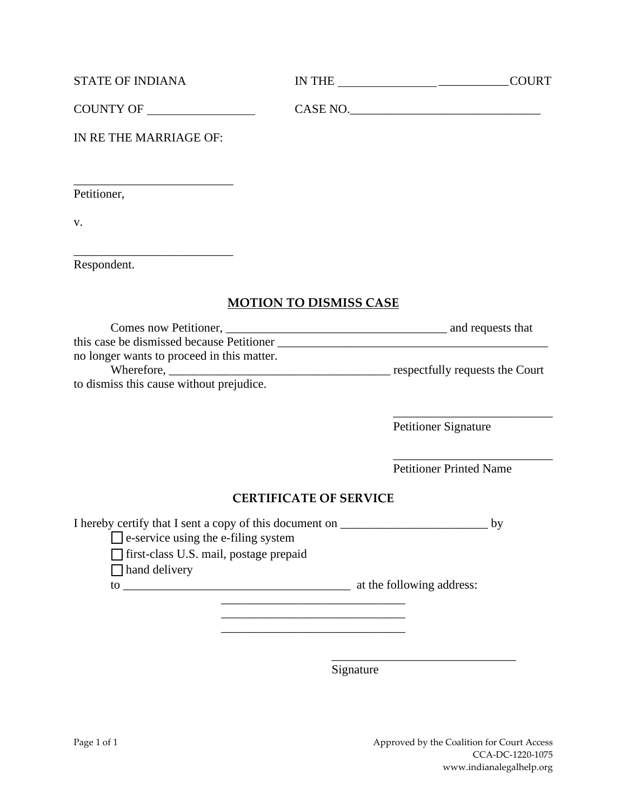| <b>STATE OF INDIANA</b> | <b>IN THE</b> | COLIRT |
|-------------------------|---------------|--------|
|                         |               |        |

| <b>COUNTY OF</b><br><b>CASE NO</b> |  |
|------------------------------------|--|
|------------------------------------|--|

IN RE THE MARRIAGE OF:

\_\_\_\_\_\_\_\_\_\_\_\_\_\_\_\_\_\_\_\_\_\_\_\_\_\_

\_\_\_\_\_\_\_\_\_\_\_\_\_\_\_\_\_\_\_\_\_\_\_\_\_\_

Petitioner,

v.

Respondent.

## **MOTION TO DISMISS CASE**

| Comes now Petitioner,                      | and requests that               |
|--------------------------------------------|---------------------------------|
| this case be dismissed because Petitioner  |                                 |
| no longer wants to proceed in this matter. |                                 |
| Wherefore,                                 | respectfully requests the Court |
| to dismiss this cause without prejudice.   |                                 |

Petitioner Signature

 $\frac{1}{2}$  ,  $\frac{1}{2}$  ,  $\frac{1}{2}$  ,  $\frac{1}{2}$  ,  $\frac{1}{2}$  ,  $\frac{1}{2}$  ,  $\frac{1}{2}$  ,  $\frac{1}{2}$  ,  $\frac{1}{2}$  ,  $\frac{1}{2}$  ,  $\frac{1}{2}$  ,  $\frac{1}{2}$  ,  $\frac{1}{2}$  ,  $\frac{1}{2}$  ,  $\frac{1}{2}$  ,  $\frac{1}{2}$  ,  $\frac{1}{2}$  ,  $\frac{1}{2}$  ,  $\frac{1$ Petitioner Printed Name

 $\frac{1}{2}$  ,  $\frac{1}{2}$  ,  $\frac{1}{2}$  ,  $\frac{1}{2}$  ,  $\frac{1}{2}$  ,  $\frac{1}{2}$  ,  $\frac{1}{2}$  ,  $\frac{1}{2}$  ,  $\frac{1}{2}$  ,  $\frac{1}{2}$  ,  $\frac{1}{2}$  ,  $\frac{1}{2}$  ,  $\frac{1}{2}$  ,  $\frac{1}{2}$  ,  $\frac{1}{2}$  ,  $\frac{1}{2}$  ,  $\frac{1}{2}$  ,  $\frac{1}{2}$  ,  $\frac{1$ 

## **CERTIFICATE OF SERVICE**

I hereby certify that I sent a copy of this document on \_\_\_\_\_\_\_\_\_\_\_\_\_\_\_\_\_\_\_\_\_\_\_\_ by

□ e-service using the e-filing system

☐ first-class U.S. mail, postage prepaid

 $\Box$  hand delivery

to \_\_\_\_\_\_\_\_\_\_\_\_\_\_\_\_\_\_\_\_\_\_\_\_\_\_\_\_\_\_\_\_\_\_\_\_\_ at the following address:

\_\_\_\_\_\_\_\_\_\_\_\_\_\_\_\_\_\_\_\_\_\_\_\_\_\_\_\_\_\_ \_\_\_\_\_\_\_\_\_\_\_\_\_\_\_\_\_\_\_\_\_\_\_\_\_\_\_\_\_\_

\_\_\_\_\_\_\_\_\_\_\_\_\_\_\_\_\_\_\_\_\_\_\_\_\_\_\_\_\_\_

 $\overline{\phantom{a}}$  , which is a set of the set of the set of the set of the set of the set of the set of the set of the set of the set of the set of the set of the set of the set of the set of the set of the set of the set of th Signature